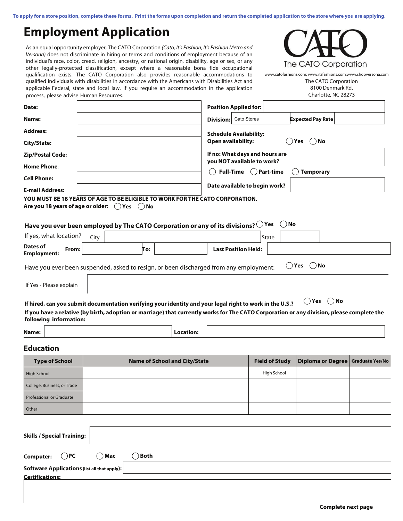**To apply for a store position, complete these forms. Print the forms upon completion and return the completed application to the store where you are applying.** 

## **Employment Application**

As an equal opportunity employer, The CATO Corporation (Cato, It's Fashion, It's Fashion Metro and Versona) does not discriminate in hiring or terms and conditions of employment because of an individual's race, color, creed, religion, ancestry, or national origin, disability, age or sex, or any other legally-protected classification, except where a reasonable bona fide occupational qualification exists. The CATO Corporation also provides reasonable accommodations to qualified individuals with disabilities in accordance with the Americans with Disabilities Act and applicable Federal, state and local law. If you require an accommodation in the application process, please advise Human Resources.



The CATO Corporation 8100 Denmark Rd. Charlotte, NC 28273 www.catofashions.com; www.itsfashions.com;www.shopversona.com

| Date:                                                                                                                                    |      |     |                  | <b>Position Applied for:</b>                                 |          |                          |      |
|------------------------------------------------------------------------------------------------------------------------------------------|------|-----|------------------|--------------------------------------------------------------|----------|--------------------------|------|
| Name:                                                                                                                                    |      |     | <b>Division:</b> | Cato Stores                                                  |          | <b>Expected Pay Rate</b> |      |
| <b>Address:</b>                                                                                                                          |      |     |                  | <b>Schedule Availability:</b>                                |          |                          |      |
| City/State:                                                                                                                              |      |     |                  | <b>Open availability:</b>                                    |          | Yes ( ) No               |      |
| <b>Zip/Postal Code:</b>                                                                                                                  |      |     |                  | If no: What days and hours are<br>you NOT available to work? |          |                          |      |
| <b>Home Phone:</b>                                                                                                                       |      |     |                  |                                                              |          |                          |      |
| <b>Cell Phone:</b>                                                                                                                       |      |     |                  | Full-Time (Part-time                                         |          | <b>Temporary</b>         |      |
| <b>E-mail Address:</b>                                                                                                                   |      |     |                  | Date available to begin work?                                |          |                          |      |
| YOU MUST BE 18 YEARS OF AGE TO BE ELIGIBLE TO WORK FOR THE CATO CORPORATION.<br>Are you 18 years of age or older: $($ $)$ Yes $($ $)$ No |      |     |                  |                                                              |          |                          |      |
| Have you ever been employed by The CATO Corporation or any of its divisions? $\bigcirc$ Yes                                              |      |     |                  |                                                              | $( )$ No |                          |      |
| If yes, what location?                                                                                                                   | City |     |                  |                                                              | State    |                          |      |
| <b>Dates of</b><br>From:<br><b>Employment:</b>                                                                                           |      | To: |                  | <b>Last Position Held:</b>                                   |          |                          |      |
| Have you ever been suspended, asked to resign, or been discharged from any employment:                                                   |      |     |                  |                                                              |          | ()Yes ()No               |      |
| If Yes - Please explain                                                                                                                  |      |     |                  |                                                              |          |                          |      |
| If hired, can you submit documentation verifying your identity and your legal right to work in the U.S.?                                 |      |     |                  |                                                              |          | Yes                      | ⊇ No |

**If you have a relative (by birth, adoption or marriage) that currently works for The CATO Corporation or any division, please complete the following information:**

| Name<br>۰. |
|------------|
| ٠          |

Location:

## **Education**

| <b>Type of School</b>       | <b>Name of School and City/State</b> | <b>Field of Study</b> | Diploma or Degree   Graduate Yes/No |  |
|-----------------------------|--------------------------------------|-----------------------|-------------------------------------|--|
| <b>High School</b>          |                                      | High School           |                                     |  |
| College, Business, or Trade |                                      |                       |                                     |  |
| Professional or Graduate    |                                      |                       |                                     |  |
| Other                       |                                      |                       |                                     |  |
|                             |                                      |                       |                                     |  |
|                             |                                      |                       |                                     |  |

| <b>Skills / Special Training:</b>            |                 |  |  |
|----------------------------------------------|-----------------|--|--|
| Computer: $\bigcirc$ PC $\bigcirc$ Mac       | $\bigcirc$ Both |  |  |
| Software Applications (list all that apply): |                 |  |  |
| <b>Certifications:</b>                       |                 |  |  |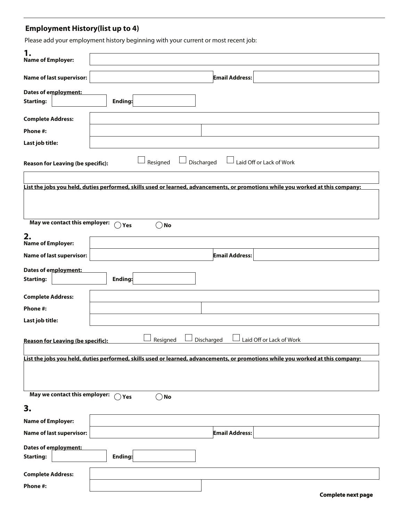## **Employment History(list up to 4)**

Please add your employment history beginning with your current or most recent job:

| 1.<br><b>Name of Employer:</b>           |                                                                                                                                 |  |  |  |  |  |  |
|------------------------------------------|---------------------------------------------------------------------------------------------------------------------------------|--|--|--|--|--|--|
| <b>Name of last supervisor:</b>          | <b>Email Address:</b>                                                                                                           |  |  |  |  |  |  |
| Dates of employment:<br><b>Starting:</b> | Ending:                                                                                                                         |  |  |  |  |  |  |
| <b>Complete Address:</b>                 |                                                                                                                                 |  |  |  |  |  |  |
| Phone #:                                 |                                                                                                                                 |  |  |  |  |  |  |
| Last job title:                          |                                                                                                                                 |  |  |  |  |  |  |
| <b>Reason for Leaving (be specific):</b> | Laid Off or Lack of Work<br>Discharged<br>Resigned                                                                              |  |  |  |  |  |  |
|                                          | List the jobs you held, duties performed, skills used or learned, advancements, or promotions while you worked at this company: |  |  |  |  |  |  |
|                                          |                                                                                                                                 |  |  |  |  |  |  |
| May we contact this employer:            | $\bigcirc$ No<br>$\bigcap$ Yes                                                                                                  |  |  |  |  |  |  |
| 2.<br><b>Name of Employer:</b>           |                                                                                                                                 |  |  |  |  |  |  |
| <b>Name of last supervisor:</b>          | <b>Email Address:</b>                                                                                                           |  |  |  |  |  |  |
| Dates of employment:<br><b>Starting:</b> | Ending:                                                                                                                         |  |  |  |  |  |  |
| <b>Complete Address:</b>                 |                                                                                                                                 |  |  |  |  |  |  |
| Phone #:                                 |                                                                                                                                 |  |  |  |  |  |  |
| Last job title:                          |                                                                                                                                 |  |  |  |  |  |  |
| <b>Reason for Leaving (be specific):</b> | Discharged<br>Laid Off or Lack of Work<br>Resigned                                                                              |  |  |  |  |  |  |
|                                          | List the jobs you held, duties performed, skills used or learned, advancements, or promotions while you worked at this company: |  |  |  |  |  |  |
|                                          |                                                                                                                                 |  |  |  |  |  |  |
| May we contact this employer:            | $\bigcap$ Yes<br>$\bigcirc$ No                                                                                                  |  |  |  |  |  |  |
| 3.                                       |                                                                                                                                 |  |  |  |  |  |  |
| <b>Name of Employer:</b>                 |                                                                                                                                 |  |  |  |  |  |  |
| <b>Name of last supervisor:</b>          | <b>Email Address:</b>                                                                                                           |  |  |  |  |  |  |
| Dates of employment:<br><b>Starting:</b> | Ending:                                                                                                                         |  |  |  |  |  |  |
| <b>Complete Address:</b>                 |                                                                                                                                 |  |  |  |  |  |  |
| Phone #:                                 |                                                                                                                                 |  |  |  |  |  |  |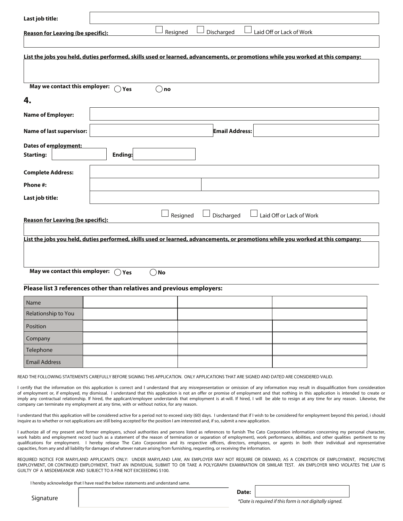| Last job title:                                                                                                                 |                                                                                          |                                                                                                                                             |                                                                                                                                                                                                                                                                                                                                                                                                                                                                                                                                                                                 |  |  |  |  |
|---------------------------------------------------------------------------------------------------------------------------------|------------------------------------------------------------------------------------------|---------------------------------------------------------------------------------------------------------------------------------------------|---------------------------------------------------------------------------------------------------------------------------------------------------------------------------------------------------------------------------------------------------------------------------------------------------------------------------------------------------------------------------------------------------------------------------------------------------------------------------------------------------------------------------------------------------------------------------------|--|--|--|--|
| <b>Reason for Leaving (be specific):</b>                                                                                        | Resigned                                                                                 | Discharged                                                                                                                                  | Laid Off or Lack of Work                                                                                                                                                                                                                                                                                                                                                                                                                                                                                                                                                        |  |  |  |  |
| List the jobs you held, duties performed, skills used or learned, advancements, or promotions while you worked at this company: |                                                                                          |                                                                                                                                             |                                                                                                                                                                                                                                                                                                                                                                                                                                                                                                                                                                                 |  |  |  |  |
| May we contact this employer:                                                                                                   | $\bigcap$ Yes<br>〔 )no                                                                   |                                                                                                                                             |                                                                                                                                                                                                                                                                                                                                                                                                                                                                                                                                                                                 |  |  |  |  |
| 4.                                                                                                                              |                                                                                          |                                                                                                                                             |                                                                                                                                                                                                                                                                                                                                                                                                                                                                                                                                                                                 |  |  |  |  |
| <b>Name of Employer:</b>                                                                                                        |                                                                                          |                                                                                                                                             |                                                                                                                                                                                                                                                                                                                                                                                                                                                                                                                                                                                 |  |  |  |  |
| <b>Name of last supervisor:</b>                                                                                                 |                                                                                          | <b>Email Address:</b>                                                                                                                       |                                                                                                                                                                                                                                                                                                                                                                                                                                                                                                                                                                                 |  |  |  |  |
| Dates of employment:<br><b>Starting:</b>                                                                                        | Ending:                                                                                  |                                                                                                                                             |                                                                                                                                                                                                                                                                                                                                                                                                                                                                                                                                                                                 |  |  |  |  |
| <b>Complete Address:</b><br>Phone #:                                                                                            |                                                                                          |                                                                                                                                             |                                                                                                                                                                                                                                                                                                                                                                                                                                                                                                                                                                                 |  |  |  |  |
| Last job title:                                                                                                                 |                                                                                          |                                                                                                                                             |                                                                                                                                                                                                                                                                                                                                                                                                                                                                                                                                                                                 |  |  |  |  |
| May we contact this employer: $\bigcap$ Yes                                                                                     | No<br>()                                                                                 |                                                                                                                                             |                                                                                                                                                                                                                                                                                                                                                                                                                                                                                                                                                                                 |  |  |  |  |
|                                                                                                                                 | Please list 3 references other than relatives and previous employers:                    |                                                                                                                                             |                                                                                                                                                                                                                                                                                                                                                                                                                                                                                                                                                                                 |  |  |  |  |
| Name                                                                                                                            |                                                                                          |                                                                                                                                             |                                                                                                                                                                                                                                                                                                                                                                                                                                                                                                                                                                                 |  |  |  |  |
| Relationship to You                                                                                                             |                                                                                          |                                                                                                                                             |                                                                                                                                                                                                                                                                                                                                                                                                                                                                                                                                                                                 |  |  |  |  |
| Position                                                                                                                        |                                                                                          |                                                                                                                                             |                                                                                                                                                                                                                                                                                                                                                                                                                                                                                                                                                                                 |  |  |  |  |
| Company                                                                                                                         |                                                                                          |                                                                                                                                             |                                                                                                                                                                                                                                                                                                                                                                                                                                                                                                                                                                                 |  |  |  |  |
| Telephone                                                                                                                       |                                                                                          |                                                                                                                                             |                                                                                                                                                                                                                                                                                                                                                                                                                                                                                                                                                                                 |  |  |  |  |
| <b>Email Address</b>                                                                                                            |                                                                                          |                                                                                                                                             |                                                                                                                                                                                                                                                                                                                                                                                                                                                                                                                                                                                 |  |  |  |  |
|                                                                                                                                 | company can terminate my employment at any time, with or without notice, for any reason. | READ THE FOLLOWING STATEMENTS CAREFULLY BEFORE SIGNING THIS APPLICATION.  ONLY APPLICATIONS THAT ARE SIGNED AND DATED ARE CONSIDERED VALID. | certify that the information on this application is correct and I understand that any misrepresentation or omission of any information may result in disqualification from consideration<br>of employment or, if employed, my dismissal. I understand that this application is not an offer or promise of employment and that nothing in this application is intended to create or<br>imply any contractual relationship. If hired, the applicant/employee understands that employment is at-will. If hired, I will be able to resign at any time for any reason. Likewise, the |  |  |  |  |
|                                                                                                                                 |                                                                                          | inquire as to whether or not applications are still being accepted for the position I am interested and, if so, submit a new application.   | understand that this application will be considered active for a period not to exceed sixty (60) days. I understand that if I wish to be considered for employment beyond this period, i should                                                                                                                                                                                                                                                                                                                                                                                 |  |  |  |  |
|                                                                                                                                 |                                                                                          | capacities, from any and all liability for damages of whatever nature arising from furnishing, requesting, or receiving the information.    | I authorize all of my present and former employers, school authorities and persons listed as references to furnish The Cato Corporation information concerning my personal character,<br>work habits and employment record (such as a statement of the reason of termination or separation of employment), work performance, abilities, and other qualities pertinent to my<br>qualifications for employment. I hereby release The Cato Corporation and its respective officers, directors, employees, or agents in both their individual and representative                    |  |  |  |  |
|                                                                                                                                 |                                                                                          |                                                                                                                                             | REQUIRED NOTICE FOR MARYLAND APPLICANTS ONLY: UNDER MARYLAND LAW, AN EMPLOYER MAY NOT REQUIRE OR DEMAND, AS A CONDITION OF EMPLOYMENT, PROSPECTIVE<br>EMPLOYMENT, OR CONTINUED EMPLOYMENT, THAT AN INDIVIDUAL SUBMIT TO OR TAKE A POLYGRAPH EXAMINATION OR SIMILAR TEST. AN EMPLOYER WHO VIOLATES THE LAW IS                                                                                                                                                                                                                                                                    |  |  |  |  |

I hereby acknowledge that I have read the below statements and understand same.

GUILTY OF A MISDEMEANOR AND SUBJECT TO A FINE NOT EXCEEEDING \$100.

Signature

\*Date is required if this form is not digitally signed.

**Date:**